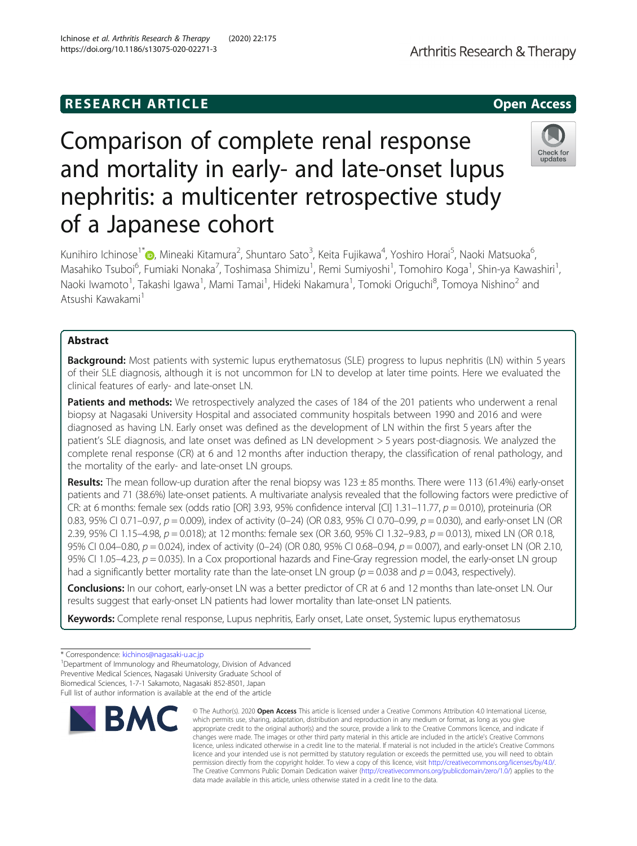# Comparison of complete renal response and mortality in early- and late-onset lupus nephritis: a multicenter retrospective study of a Japanese cohort

Kunihiro Ichinose<sup>1\*</sup>®, Mineaki Kitamura<sup>2</sup>, Shuntaro Sato<sup>3</sup>, Keita Fujikawa<sup>4</sup>, Yoshiro Horai<sup>5</sup>, Naoki Matsuoka<sup>6</sup> , Masahiko Tsuboi<sup>6</sup>, Fumiaki Nonaka<sup>7</sup>, Toshimasa Shimizu<sup>1</sup>, Remi Sumiyoshi<sup>1</sup>, Tomohiro Koga<sup>1</sup>, Shin-ya Kawashiri<sup>1</sup> , Naoki Iwamoto<sup>1</sup>, Takashi Igawa<sup>1</sup>, Mami Tamai<sup>1</sup>, Hideki Nakamura<sup>1</sup>, Tomoki Origuchi<sup>8</sup>, Tomoya Nishino<sup>2</sup> and Atsushi Kawakami<sup>1</sup>

## Abstract

**Background:** Most patients with systemic lupus erythematosus (SLE) progress to lupus nephritis (LN) within 5 years of their SLE diagnosis, although it is not uncommon for LN to develop at later time points. Here we evaluated the clinical features of early- and late-onset LN.

Patients and methods: We retrospectively analyzed the cases of 184 of the 201 patients who underwent a renal biopsy at Nagasaki University Hospital and associated community hospitals between 1990 and 2016 and were diagnosed as having LN. Early onset was defined as the development of LN within the first 5 years after the patient's SLE diagnosis, and late onset was defined as LN development > 5 years post-diagnosis. We analyzed the complete renal response (CR) at 6 and 12 months after induction therapy, the classification of renal pathology, and the mortality of the early- and late-onset LN groups.

Results: The mean follow-up duration after the renal biopsy was  $123 \pm 85$  months. There were 113 (61.4%) early-onset patients and 71 (38.6%) late-onset patients. A multivariate analysis revealed that the following factors were predictive of CR: at 6 months: female sex (odds ratio [OR] 3.93, 95% confidence interval [CI] 1.31–11.77,  $p = 0.010$ ), proteinuria (OR 0.83, 95% CI 0.71–0.97,  $p = 0.009$ ), index of activity (0–24) (OR 0.83, 95% CI 0.70–0.99,  $p = 0.030$ ), and early-onset LN (OR 2.39, 95% CI 1.15–4.98, p = 0.018); at 12 months: female sex (OR 3.60, 95% CI 1.32–9.83, p = 0.013), mixed LN (OR 0.18, 95% CI 0.04–0.80,  $p = 0.024$ ), index of activity (0–24) (OR 0.80, 95% CI 0.68–0.94,  $p = 0.007$ ), and early-onset LN (OR 2.10, 95% CI 1.05–4.23,  $p = 0.035$ ). In a Cox proportional hazards and Fine-Gray regression model, the early-onset LN group had a significantly better mortality rate than the late-onset LN group ( $p = 0.038$  and  $p = 0.043$ , respectively).

Conclusions: In our cohort, early-onset LN was a better predictor of CR at 6 and 12 months than late-onset LN. Our results suggest that early-onset LN patients had lower mortality than late-onset LN patients.

data made available in this article, unless otherwise stated in a credit line to the data.

appropriate credit to the original author(s) and the source, provide a link to the Creative Commons licence, and indicate if

licence and your intended use is not permitted by statutory regulation or exceeds the permitted use, you will need to obtain permission directly from the copyright holder. To view a copy of this licence, visit [http://creativecommons.org/licenses/by/4.0/.](http://creativecommons.org/licenses/by/4.0/) The Creative Commons Public Domain Dedication waiver [\(http://creativecommons.org/publicdomain/zero/1.0/](http://creativecommons.org/publicdomain/zero/1.0/)) applies to the

Keywords: Complete renal response, Lupus nephritis, Early onset, Late onset, Systemic lupus erythematosus

<sup>1</sup>Department of Immunology and Rheumatology, Division of Advanced Preventive Medical Sciences, Nagasaki University Graduate School of Biomedical Sciences, 1-7-1 Sakamoto, Nagasaki 852-8501, Japan Full list of author information is available at the end of the article

Ichinose et al. Arthritis Research & Therapy (2020) 22:175 https://doi.org/10.1186/s13075-020-02271-3



<sup>\*</sup> Correspondence: [kichinos@nagasaki-u.ac.jp](mailto:kichinos@nagasaki-u.ac.jp) <sup>1</sup>

**RESEARCH ARTICLE Example 2014 12:30 The SEAR CH ACCESS**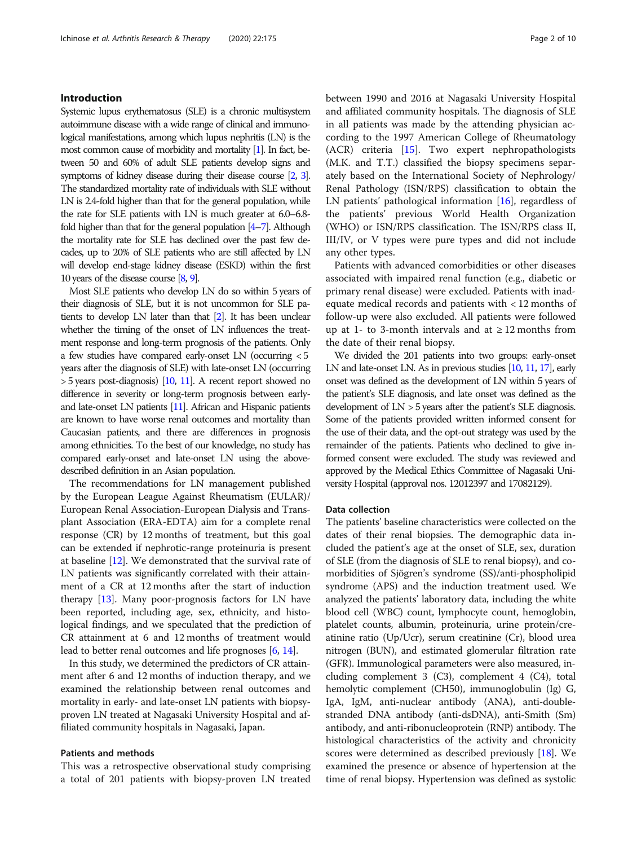## Introduction

Systemic lupus erythematosus (SLE) is a chronic multisystem autoimmune disease with a wide range of clinical and immunological manifestations, among which lupus nephritis (LN) is the most common cause of morbidity and mortality [\[1\]](#page-8-0). In fact, between 50 and 60% of adult SLE patients develop signs and symptoms of kidney disease during their disease course [\[2](#page-8-0), [3\]](#page-8-0). The standardized mortality rate of individuals with SLE without LN is 2.4-fold higher than that for the general population, while the rate for SLE patients with LN is much greater at 6.0–6.8 fold higher than that for the general population [\[4](#page-8-0)–[7\]](#page-8-0). Although the mortality rate for SLE has declined over the past few decades, up to 20% of SLE patients who are still affected by LN will develop end-stage kidney disease (ESKD) within the first 10 years of the disease course [\[8](#page-8-0), [9\]](#page-8-0).

Most SLE patients who develop LN do so within 5 years of their diagnosis of SLE, but it is not uncommon for SLE patients to develop LN later than that [\[2\]](#page-8-0). It has been unclear whether the timing of the onset of LN influences the treatment response and long-term prognosis of the patients. Only a few studies have compared early-onset LN (occurring < 5 years after the diagnosis of SLE) with late-onset LN (occurring > 5 years post-diagnosis) [\[10](#page-8-0), [11\]](#page-8-0). A recent report showed no difference in severity or long-term prognosis between earlyand late-onset LN patients [\[11](#page-8-0)]. African and Hispanic patients are known to have worse renal outcomes and mortality than Caucasian patients, and there are differences in prognosis among ethnicities. To the best of our knowledge, no study has compared early-onset and late-onset LN using the abovedescribed definition in an Asian population.

The recommendations for LN management published by the European League Against Rheumatism (EULAR)/ European Renal Association-European Dialysis and Transplant Association (ERA-EDTA) aim for a complete renal response (CR) by 12 months of treatment, but this goal can be extended if nephrotic-range proteinuria is present at baseline [[12](#page-8-0)]. We demonstrated that the survival rate of LN patients was significantly correlated with their attainment of a CR at 12 months after the start of induction therapy [\[13](#page-8-0)]. Many poor-prognosis factors for LN have been reported, including age, sex, ethnicity, and histological findings, and we speculated that the prediction of CR attainment at 6 and 12 months of treatment would lead to better renal outcomes and life prognoses [[6](#page-8-0), [14\]](#page-8-0).

In this study, we determined the predictors of CR attainment after 6 and 12 months of induction therapy, and we examined the relationship between renal outcomes and mortality in early- and late-onset LN patients with biopsyproven LN treated at Nagasaki University Hospital and affiliated community hospitals in Nagasaki, Japan.

## Patients and methods

This was a retrospective observational study comprising a total of 201 patients with biopsy-proven LN treated between 1990 and 2016 at Nagasaki University Hospital and affiliated community hospitals. The diagnosis of SLE in all patients was made by the attending physician according to the 1997 American College of Rheumatology (ACR) criteria [\[15\]](#page-8-0). Two expert nephropathologists (M.K. and T.T.) classified the biopsy specimens separately based on the International Society of Nephrology/ Renal Pathology (ISN/RPS) classification to obtain the LN patients' pathological information [[16](#page-8-0)], regardless of the patients' previous World Health Organization (WHO) or ISN/RPS classification. The ISN/RPS class II, III/IV, or V types were pure types and did not include any other types.

Patients with advanced comorbidities or other diseases associated with impaired renal function (e.g., diabetic or primary renal disease) were excluded. Patients with inadequate medical records and patients with < 12 months of follow-up were also excluded. All patients were followed up at 1- to 3-month intervals and at  $\geq 12$  months from the date of their renal biopsy.

We divided the 201 patients into two groups: early-onset LN and late-onset LN. As in previous studies [\[10,](#page-8-0) [11](#page-8-0), [17\]](#page-8-0), early onset was defined as the development of LN within 5 years of the patient's SLE diagnosis, and late onset was defined as the development of LN > 5 years after the patient's SLE diagnosis. Some of the patients provided written informed consent for the use of their data, and the opt-out strategy was used by the remainder of the patients. Patients who declined to give informed consent were excluded. The study was reviewed and approved by the Medical Ethics Committee of Nagasaki University Hospital (approval nos. 12012397 and 17082129).

### Data collection

The patients' baseline characteristics were collected on the dates of their renal biopsies. The demographic data included the patient's age at the onset of SLE, sex, duration of SLE (from the diagnosis of SLE to renal biopsy), and comorbidities of Sjögren's syndrome (SS)/anti-phospholipid syndrome (APS) and the induction treatment used. We analyzed the patients' laboratory data, including the white blood cell (WBC) count, lymphocyte count, hemoglobin, platelet counts, albumin, proteinuria, urine protein/creatinine ratio (Up/Ucr), serum creatinine (Cr), blood urea nitrogen (BUN), and estimated glomerular filtration rate (GFR). Immunological parameters were also measured, including complement 3 (C3), complement 4 (C4), total hemolytic complement (CH50), immunoglobulin (Ig) G, IgA, IgM, anti-nuclear antibody (ANA), anti-doublestranded DNA antibody (anti-dsDNA), anti-Smith (Sm) antibody, and anti-ribonucleoprotein (RNP) antibody. The histological characteristics of the activity and chronicity scores were determined as described previously [[18\]](#page-8-0). We examined the presence or absence of hypertension at the time of renal biopsy. Hypertension was defined as systolic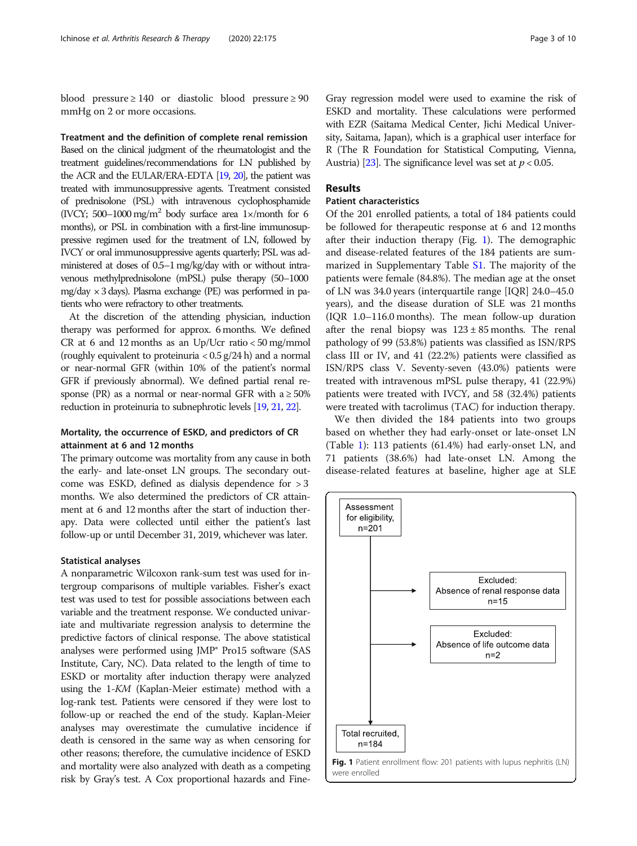blood pressure  $\geq 140$  or diastolic blood pressure  $\geq 90$ mmHg on 2 or more occasions.

Treatment and the definition of complete renal remission Based on the clinical judgment of the rheumatologist and the treatment guidelines/recommendations for LN published by the ACR and the EULAR/ERA-EDTA [\[19,](#page-8-0) [20](#page-8-0)], the patient was treated with immunosuppressive agents. Treatment consisted of prednisolone (PSL) with intravenous cyclophosphamide (IVCY; 500–1000 mg/m<sup>2</sup> body surface area 1 $\times$ /month for 6 months), or PSL in combination with a first-line immunosuppressive regimen used for the treatment of LN, followed by IVCY or oral immunosuppressive agents quarterly; PSL was administered at doses of 0.5–1 mg/kg/day with or without intravenous methylprednisolone (mPSL) pulse therapy (50–1000 mg/day × 3 days). Plasma exchange (PE) was performed in patients who were refractory to other treatments.

At the discretion of the attending physician, induction therapy was performed for approx. 6 months. We defined CR at 6 and 12 months as an Up/Ucr ratio < 50 mg/mmol (roughly equivalent to proteinuria  $< 0.5$  g/24 h) and a normal or near-normal GFR (within 10% of the patient's normal GFR if previously abnormal). We defined partial renal response (PR) as a normal or near-normal GFR with  $a \ge 50\%$ reduction in proteinuria to subnephrotic levels [\[19](#page-8-0), [21,](#page-8-0) [22\]](#page-8-0).

## Mortality, the occurrence of ESKD, and predictors of CR attainment at 6 and 12 months

The primary outcome was mortality from any cause in both the early- and late-onset LN groups. The secondary outcome was ESKD, defined as dialysis dependence for > 3 months. We also determined the predictors of CR attainment at 6 and 12 months after the start of induction therapy. Data were collected until either the patient's last follow-up or until December 31, 2019, whichever was later.

#### Statistical analyses

A nonparametric Wilcoxon rank-sum test was used for intergroup comparisons of multiple variables. Fisher's exact test was used to test for possible associations between each variable and the treatment response. We conducted univariate and multivariate regression analysis to determine the predictive factors of clinical response. The above statistical analyses were performed using JMP® Pro15 software (SAS Institute, Cary, NC). Data related to the length of time to ESKD or mortality after induction therapy were analyzed using the 1-KM (Kaplan-Meier estimate) method with a log-rank test. Patients were censored if they were lost to follow-up or reached the end of the study. Kaplan-Meier analyses may overestimate the cumulative incidence if death is censored in the same way as when censoring for other reasons; therefore, the cumulative incidence of ESKD and mortality were also analyzed with death as a competing risk by Gray's test. A Cox proportional hazards and Fine-

Gray regression model were used to examine the risk of ESKD and mortality. These calculations were performed with EZR (Saitama Medical Center, Jichi Medical University, Saitama, Japan), which is a graphical user interface for R (The R Foundation for Statistical Computing, Vienna, Austria) [\[23](#page-8-0)]. The significance level was set at  $p < 0.05$ .

## Results

## Patient characteristics

Of the 201 enrolled patients, a total of 184 patients could be followed for therapeutic response at 6 and 12 months after their induction therapy (Fig. 1). The demographic and disease-related features of the 184 patients are summarized in Supplementary Table [S1.](#page-7-0) The majority of the patients were female (84.8%). The median age at the onset of LN was 34.0 years (interquartile range [IQR] 24.0–45.0 years), and the disease duration of SLE was 21 months (IQR 1.0–116.0 months). The mean follow-up duration after the renal biopsy was  $123 \pm 85$  months. The renal pathology of 99 (53.8%) patients was classified as ISN/RPS class III or IV, and 41 (22.2%) patients were classified as ISN/RPS class V. Seventy-seven (43.0%) patients were treated with intravenous mPSL pulse therapy, 41 (22.9%) patients were treated with IVCY, and 58 (32.4%) patients were treated with tacrolimus (TAC) for induction therapy.

We then divided the 184 patients into two groups based on whether they had early-onset or late-onset LN (Table [1\)](#page-3-0): 113 patients (61.4%) had early-onset LN, and 71 patients (38.6%) had late-onset LN. Among the disease-related features at baseline, higher age at SLE

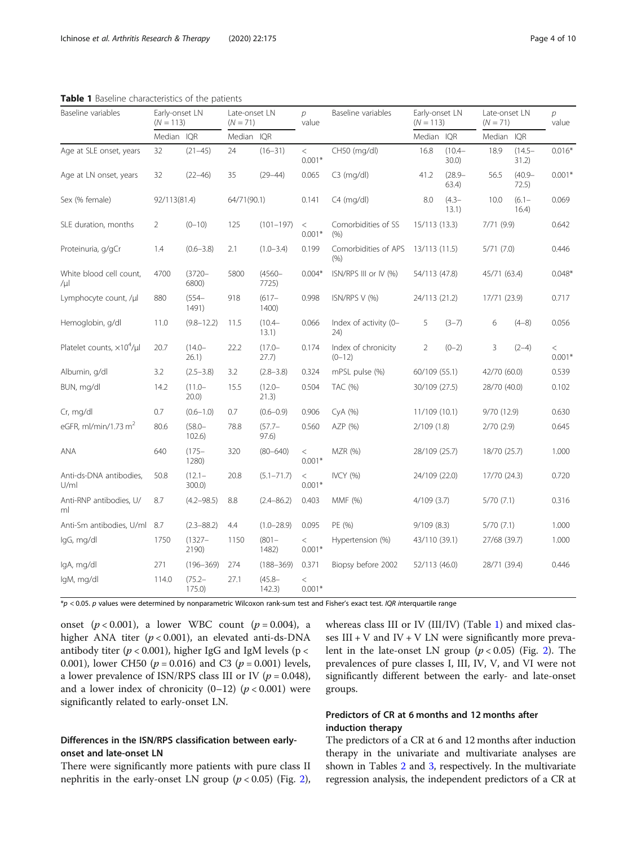| Baseline variables                 | Early-onset LN<br>$(N = 113)$ |                        | Late-onset LN<br>$(N = 71)$ |                     | $\mathcal{D}$<br>value | Baseline variables              | Early-onset LN<br>$(N = 113)$ |                       | Late-onset LN<br>$(N = 71)$ |                    | $\overline{p}$<br>value |
|------------------------------------|-------------------------------|------------------------|-----------------------------|---------------------|------------------------|---------------------------------|-------------------------------|-----------------------|-----------------------------|--------------------|-------------------------|
|                                    | Median IOR                    |                        | Median IOR                  |                     |                        |                                 | Median IQR                    |                       | Median                      | IQR                |                         |
| Age at SLE onset, years            | 32                            | $(21 - 45)$            | 24                          | $(16 - 31)$         | $\lt$<br>$0.001*$      | CH50 (mg/dl)                    | 16.8                          | $(10.4 -$<br>$30.0$ ) | 18.9                        | $(14.5 -$<br>31.2) | $0.016*$                |
| Age at LN onset, years             | 32                            | $(22 - 46)$            | 35                          | $(29 - 44)$         | 0.065                  | $C3$ (mg/dl)                    | 41.2                          | $(28.9 -$<br>63.4)    | 56.5                        | $(40.9 -$<br>72.5) | $0.001*$                |
| Sex (% female)                     | 92/113(81.4)                  |                        | 64/71(90.1)                 |                     | 0.141                  | $C4$ (mg/dl)                    | 8.0                           | $(4.3 -$<br>13.1)     | 10.0                        | $(6.1 -$<br>16.4)  | 0.069                   |
| SLE duration, months               | $\overline{2}$                | $(0 - 10)$             | 125                         | $(101 - 197)$       | $\,<$<br>$0.001*$      | Comorbidities of SS<br>(% )     | 15/113 (13.3)                 |                       | 7/71 (9.9)                  |                    | 0.642                   |
| Proteinuria, g/gCr                 | 1.4                           | $(0.6 - 3.8)$          | 2.1                         | $(1.0 - 3.4)$       | 0.199                  | Comorbidities of APS<br>(% )    | 13/113 (11.5)                 |                       | 5/71(7.0)                   |                    | 0.446                   |
| White blood cell count,<br>/µl     | 4700                          | $(3720 -$<br>6800)     | 5800                        | $(4560 -$<br>7725)  | $0.004*$               | ISN/RPS III or IV (%)           | 54/113 (47.8)                 |                       | 45/71 (63.4)                |                    | $0.048*$                |
| Lymphocyte count, /µl              | 880                           | $(554 -$<br>1491)      | 918                         | $(617 -$<br>1400)   | 0.998                  | ISN/RPS V (%)                   | 24/113 (21.2)                 |                       | 17/71 (23.9)                |                    | 0.717                   |
| Hemoglobin, g/dl                   | 11.0                          | $(9.8 - 12.2)$         | 11.5                        | $(10.4 -$<br>13.1)  | 0.066                  | Index of activity (0-<br>24)    | 5                             | $(3-7)$               | 6                           | $(4-8)$            | 0.056                   |
| Platelet counts, $\times 10^4$ /µl | 20.7                          | $(14.0 -$<br>26.1)     | 22.2                        | $(17.0 -$<br>27.7)  | 0.174                  | Index of chronicity<br>$(0-12)$ | $\overline{2}$                | $(0-2)$               | 3                           | $(2-4)$            | $\,<$<br>$0.001*$       |
| Albumin, g/dl                      | 3.2                           | $(2.5 - 3.8)$          | 3.2                         | $(2.8 - 3.8)$       | 0.324                  | mPSL pulse (%)                  | 60/109 (55.1)                 |                       | 42/70 (60.0)                |                    | 0.539                   |
| BUN, mg/dl                         | 14.2                          | $(11.0 -$<br>20.0)     | 15.5                        | $(12.0 -$<br>21.3)  | 0.504                  | TAC (%)                         | 30/109 (27.5)                 |                       | 28/70 (40.0)                |                    | 0.102                   |
| Cr, mg/dl                          | 0.7                           | $(0.6 - 1.0)$          | 0.7                         | $(0.6 - 0.9)$       | 0.906                  | CyA (%)                         | 11/109 (10.1)                 |                       | 9/70 (12.9)                 |                    | 0.630                   |
| eGFR, ml/min/1.73 $m2$             | 80.6                          | $(58.0 -$<br>$102.6$ ) | 78.8                        | $(57.7 -$<br>97.6)  | 0.560                  | AZP (%)                         | 2/109(1.8)                    |                       | 2/70(2.9)                   |                    | 0.645                   |
| ANA                                | 640                           | $(175 -$<br>1280)      | 320                         | $(80 - 640)$        | $\,<$<br>$0.001*$      | <b>MZR</b> (%)                  | 28/109 (25.7)                 |                       | 18/70 (25.7)                |                    | 1.000                   |
| Anti-ds-DNA antibodies,<br>U/ml    | 50.8                          | $(12.1 -$<br>$300.0$ ) | 20.8                        | $(5.1 - 71.7)$      | $\,<$<br>$0.001*$      | <b>IVCY (%)</b>                 | 24/109 (22.0)                 |                       | 17/70 (24.3)                |                    | 0.720                   |
| Anti-RNP antibodies, U/<br>ml      | 8.7                           | $(4.2 - 98.5)$         | 8.8                         | $(2.4 - 86.2)$      | 0.403                  | MMF (%)                         | 4/109(3.7)                    |                       | 5/70(7.1)                   |                    | 0.316                   |
| Anti-Sm antibodies, U/ml           | 8.7                           | $(2.3 - 88.2)$         | 4.4                         | $(1.0 - 28.9)$      | 0.095                  | PE (%)                          | 9/109(8.3)                    |                       | 5/70(7.1)                   |                    | 1.000                   |
| lgG, mg/dl                         | 1750                          | $(1327 -$<br>2190)     | 1150                        | $(801 -$<br>1482)   | $\,<$<br>$0.001*$      | Hypertension (%)                | 43/110 (39.1)                 |                       | 27/68 (39.7)                |                    | 1.000                   |
| lgA, mg/dl                         | 271                           | $(196 - 369)$          | 274                         | $(188 - 369)$       | 0.371                  | Biopsy before 2002              | 52/113 (46.0)                 |                       | 28/71 (39.4)                |                    | 0.446                   |
| IgM, mg/dl                         | 114.0                         | $(75.2 -$<br>175.0     | 27.1                        | $(45.8 -$<br>142.3) | $\,<$<br>$0.001*$      |                                 |                               |                       |                             |                    |                         |

<span id="page-3-0"></span>Table 1 Baseline characteristics of the patients

 $*_p$  < 0.05. p values were determined by nonparametric Wilcoxon rank-sum test and Fisher's exact test. IQR interquartile range

onset  $(p < 0.001)$ , a lower WBC count  $(p = 0.004)$ , a higher ANA titer  $(p < 0.001)$ , an elevated anti-ds-DNA antibody titer ( $p < 0.001$ ), higher IgG and IgM levels ( $p <$ 0.001), lower CH50 ( $p = 0.016$ ) and C3 ( $p = 0.001$ ) levels, a lower prevalence of ISN/RPS class III or IV ( $p = 0.048$ ), and a lower index of chronicity  $(0-12)$   $(p < 0.001)$  were significantly related to early-onset LN.

## Differences in the ISN/RPS classification between earlyonset and late-onset LN

There were significantly more patients with pure class II nephritis in the early-onset LN group  $(p < 0.05)$  (Fig. [2](#page-4-0)), whereas class III or IV (III/IV) (Table 1) and mixed classes  $III + V$  and  $IV + V$  LN were significantly more prevalent in the late-onset LN group  $(p < 0.05)$  (Fig. [2\)](#page-4-0). The prevalences of pure classes I, III, IV, V, and VI were not significantly different between the early- and late-onset groups.

## Predictors of CR at 6 months and 12 months after induction therapy

The predictors of a CR at 6 and 12 months after induction therapy in the univariate and multivariate analyses are shown in Tables [2](#page-4-0) and [3,](#page-5-0) respectively. In the multivariate regression analysis, the independent predictors of a CR at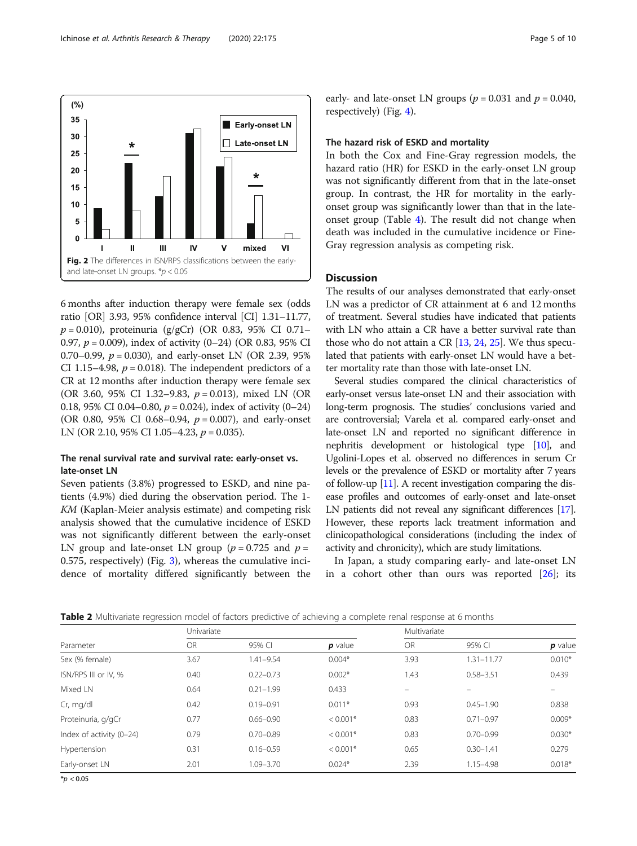<span id="page-4-0"></span>

6 months after induction therapy were female sex (odds ratio [OR] 3.93, 95% confidence interval [CI] 1.31–11.77,  $p = 0.010$ ), proteinuria (g/gCr) (OR 0.83, 95% CI 0.71– 0.97,  $p = 0.009$ ), index of activity (0–24) (OR 0.83, 95% CI 0.70–0.99,  $p = 0.030$ ), and early-onset LN (OR 2.39, 95%) CI 1.15–4.98,  $p = 0.018$ ). The independent predictors of a CR at 12 months after induction therapy were female sex (OR 3.60, 95% CI 1.32–9.83,  $p = 0.013$ ), mixed LN (OR 0.18, 95% CI 0.04–0.80,  $p = 0.024$ ), index of activity (0–24) (OR 0.80, 95% CI 0.68–0.94,  $p = 0.007$ ), and early-onset LN (OR 2.10, 95% CI 1.05–4.23,  $p = 0.035$ ).

## The renal survival rate and survival rate: early-onset vs. late-onset LN

Seven patients (3.8%) progressed to ESKD, and nine patients (4.9%) died during the observation period. The 1- KM (Kaplan-Meier analysis estimate) and competing risk analysis showed that the cumulative incidence of ESKD was not significantly different between the early-onset LN group and late-onset LN group ( $p = 0.725$  and  $p =$ 0.575, respectively) (Fig. [3](#page-5-0)), whereas the cumulative incidence of mortality differed significantly between the early- and late-onset LN groups ( $p = 0.031$  and  $p = 0.040$ , respectively) (Fig. [4\)](#page-6-0).

### The hazard risk of ESKD and mortality

In both the Cox and Fine-Gray regression models, the hazard ratio (HR) for ESKD in the early-onset LN group was not significantly different from that in the late-onset group. In contrast, the HR for mortality in the earlyonset group was significantly lower than that in the lateonset group (Table [4](#page-6-0)). The result did not change when death was included in the cumulative incidence or Fine-Gray regression analysis as competing risk.

## Discussion

The results of our analyses demonstrated that early-onset LN was a predictor of CR attainment at 6 and 12 months of treatment. Several studies have indicated that patients with LN who attain a CR have a better survival rate than those who do not attain a CR  $[13, 24, 25]$  $[13, 24, 25]$  $[13, 24, 25]$  $[13, 24, 25]$  $[13, 24, 25]$  $[13, 24, 25]$  $[13, 24, 25]$ . We thus speculated that patients with early-onset LN would have a better mortality rate than those with late-onset LN.

Several studies compared the clinical characteristics of early-onset versus late-onset LN and their association with long-term prognosis. The studies' conclusions varied and are controversial; Varela et al. compared early-onset and late-onset LN and reported no significant difference in nephritis development or histological type [[10\]](#page-8-0), and Ugolini-Lopes et al. observed no differences in serum Cr levels or the prevalence of ESKD or mortality after 7 years of follow-up [\[11\]](#page-8-0). A recent investigation comparing the disease profiles and outcomes of early-onset and late-onset LN patients did not reveal any significant differences [\[17](#page-8-0)]. However, these reports lack treatment information and clinicopathological considerations (including the index of activity and chronicity), which are study limitations.

In Japan, a study comparing early- and late-onset LN in a cohort other than ours was reported  $[26]$  $[26]$ ; its

Table 2 Multivariate regression model of factors predictive of achieving a complete renal response at 6 months

| Parameter                | Univariate |               |            | Multivariate |                |           |  |
|--------------------------|------------|---------------|------------|--------------|----------------|-----------|--|
|                          | <b>OR</b>  | 95% CI        | $p$ value  | OR           | 95% CI         | $p$ value |  |
| Sex (% female)           | 3.67       | 1.41-9.54     | $0.004*$   | 3.93         | $1.31 - 11.77$ | $0.010*$  |  |
| ISN/RPS III or IV, %     | 0.40       | $0.22 - 0.73$ | $0.002*$   | 1.43         | $0.58 - 3.51$  | 0.439     |  |
| Mixed LN                 | 0.64       | $0.21 - 1.99$ | 0.433      | -            | $-$            |           |  |
| Cr, mg/dl                | 0.42       | $0.19 - 0.91$ | $0.011*$   | 0.93         | $0.45 - 1.90$  | 0.838     |  |
| Proteinuria, g/gCr       | 0.77       | $0.66 - 0.90$ | $< 0.001*$ | 0.83         | $0.71 - 0.97$  | $0.009*$  |  |
| Index of activity (0-24) | 0.79       | $0.70 - 0.89$ | $< 0.001*$ | 0.83         | $0.70 - 0.99$  | $0.030*$  |  |
| Hypertension             | 0.31       | $0.16 - 0.59$ | $< 0.001*$ | 0.65         | $0.30 - 1.41$  | 0.279     |  |
| Early-onset LN           | 2.01       | 1.09-3.70     | $0.024*$   | 2.39         | $1.15 - 4.98$  | $0.018*$  |  |

 $*_{p}$  < 0.05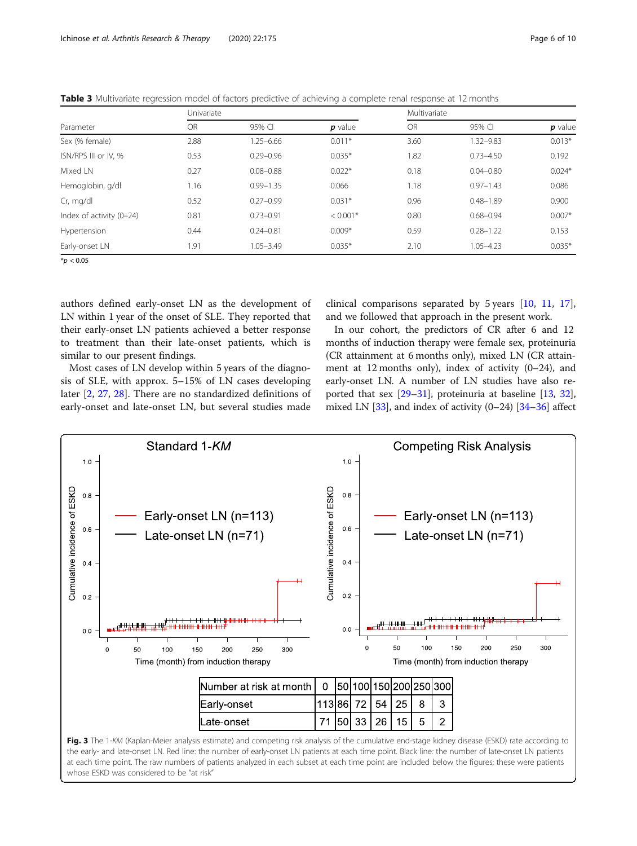| Parameter                | Univariate |               |            | Multivariate |               |           |  |
|--------------------------|------------|---------------|------------|--------------|---------------|-----------|--|
|                          | <b>OR</b>  | 95% CI        | $p$ value  | <b>OR</b>    | 95% CI        | $p$ value |  |
| Sex (% female)           | 2.88       | $1.25 - 6.66$ | $0.011*$   | 3.60         | 1.32-9.83     | $0.013*$  |  |
| ISN/RPS III or IV. %     | 0.53       | $0.29 - 0.96$ | $0.035*$   | 1.82         | $0.73 - 4.50$ | 0.192     |  |
| Mixed LN                 | 0.27       | $0.08 - 0.88$ | $0.022*$   | 0.18         | $0.04 - 0.80$ | $0.024*$  |  |
| Hemoglobin, g/dl         | 1.16       | $0.99 - 1.35$ | 0.066      | 1.18         | $0.97 - 1.43$ | 0.086     |  |
| Cr, mg/dl                | 0.52       | $0.27 - 0.99$ | $0.031*$   | 0.96         | $0.48 - 1.89$ | 0.900     |  |
| Index of activity (0-24) | 0.81       | $0.73 - 0.91$ | $< 0.001*$ | 0.80         | $0.68 - 0.94$ | $0.007*$  |  |
| Hypertension             | 0.44       | $0.24 - 0.81$ | $0.009*$   | 0.59         | $0.28 - 1.22$ | 0.153     |  |
| Early-onset LN           | 1.91       | $1.05 - 3.49$ | $0.035*$   | 2.10         | 1.05-4.23     | $0.035*$  |  |

<span id="page-5-0"></span>Table 3 Multivariate regression model of factors predictive of achieving a complete renal response at 12 months

 $*$ *p* < 0.05

authors defined early-onset LN as the development of LN within 1 year of the onset of SLE. They reported that their early-onset LN patients achieved a better response to treatment than their late-onset patients, which is similar to our present findings.

Most cases of LN develop within 5 years of the diagno-

sis of SLE, with approx. 5–15% of LN cases developing later [\[2](#page-8-0), [27](#page-8-0), [28](#page-8-0)]. There are no standardized definitions of early-onset and late-onset LN, but several studies made

clinical comparisons separated by 5 years [\[10](#page-8-0), [11](#page-8-0), [17](#page-8-0)], and we followed that approach in the present work.

In our cohort, the predictors of CR after 6 and 12 months of induction therapy were female sex, proteinuria (CR attainment at 6 months only), mixed LN (CR attainment at 12 months only), index of activity (0–24), and early-onset LN. A number of LN studies have also reported that sex [[29](#page-8-0)–[31\]](#page-8-0), proteinuria at baseline [\[13,](#page-8-0) [32](#page-8-0)], mixed LN  $[33]$ , and index of activity  $(0-24)$   $[34-36]$  $[34-36]$  $[34-36]$  $[34-36]$  affect



the early- and late-onset LN. Red line: the number of early-onset LN patients at each time point. Black line: the number of late-onset LN patients at each time point. The raw numbers of patients analyzed in each subset at each time point are included below the figures; these were patients whose ESKD was considered to be "at risk"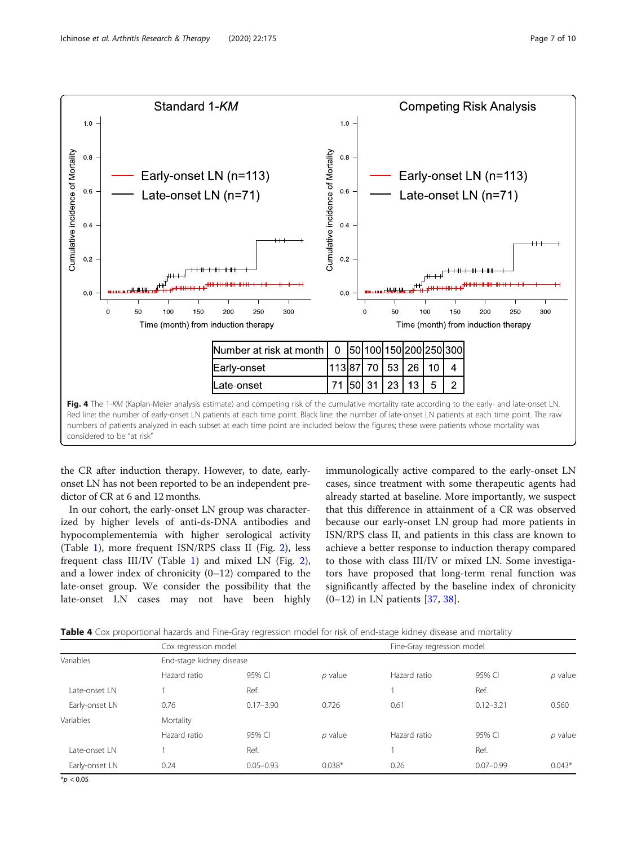<span id="page-6-0"></span>

the CR after induction therapy. However, to date, earlyonset LN has not been reported to be an independent predictor of CR at 6 and 12 months.

In our cohort, the early-onset LN group was characterized by higher levels of anti-ds-DNA antibodies and hypocomplementemia with higher serological activity (Table [1\)](#page-3-0), more frequent ISN/RPS class II (Fig. [2\)](#page-4-0), less frequent class III/IV (Table [1](#page-3-0)) and mixed LN (Fig. [2](#page-4-0)), and a lower index of chronicity (0–12) compared to the late-onset group. We consider the possibility that the late-onset LN cases may not have been highly immunologically active compared to the early-onset LN cases, since treatment with some therapeutic agents had already started at baseline. More importantly, we suspect that this difference in attainment of a CR was observed because our early-onset LN group had more patients in ISN/RPS class II, and patients in this class are known to achieve a better response to induction therapy compared to those with class III/IV or mixed LN. Some investigators have proposed that long-term renal function was significantly affected by the baseline index of chronicity  $(0-12)$  in LN patients [[37,](#page-9-0) [38](#page-9-0)].

Table 4 Cox proportional hazards and Fine-Gray regression model for risk of end-stage kidney disease and mortality

| Variables      | Cox regression model     |               |           | Fine-Gray regression model |               |           |  |  |
|----------------|--------------------------|---------------|-----------|----------------------------|---------------|-----------|--|--|
|                | End-stage kidney disease |               |           |                            |               |           |  |  |
|                | Hazard ratio             | 95% CI        | $p$ value | Hazard ratio               | 95% CI        | $p$ value |  |  |
| Late-onset LN  |                          | Ref.          |           |                            | Ref.          |           |  |  |
| Early-onset LN | 0.76                     | $0.17 - 3.90$ | 0.726     | 0.61                       | $0.12 - 3.21$ | 0.560     |  |  |
| Variables      | Mortality                |               |           |                            |               |           |  |  |
|                | Hazard ratio             | 95% CI        | $p$ value | Hazard ratio               | 95% CI        | $p$ value |  |  |
| Late-onset LN  |                          | Ref.          |           |                            | Ref.          |           |  |  |
| Early-onset LN | 0.24                     | $0.05 - 0.93$ | $0.038*$  | 0.26                       | $0.07 - 0.99$ | $0.043*$  |  |  |

 $*$ *p* < 0.05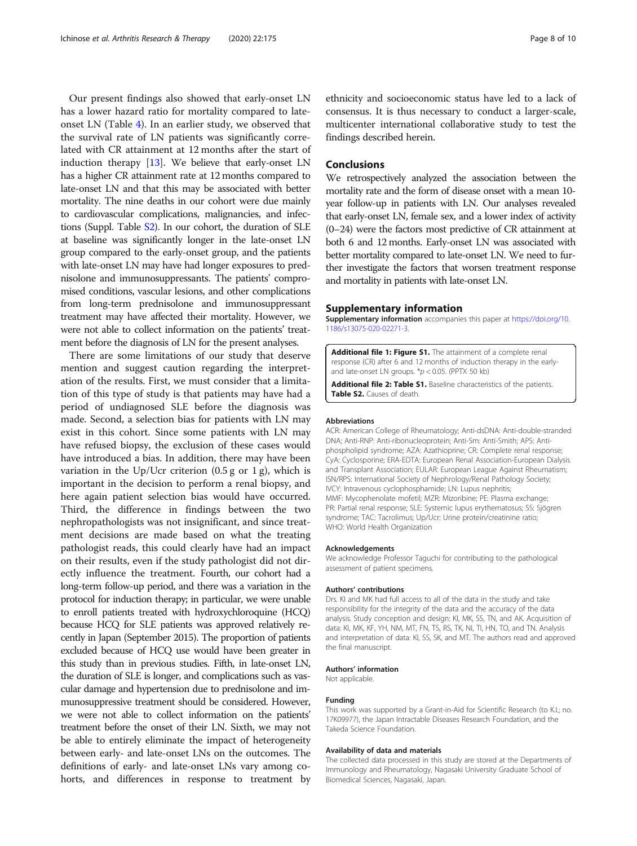<span id="page-7-0"></span>Our present findings also showed that early-onset LN has a lower hazard ratio for mortality compared to lateonset LN (Table [4\)](#page-6-0). In an earlier study, we observed that the survival rate of LN patients was significantly correlated with CR attainment at 12 months after the start of induction therapy [[13\]](#page-8-0). We believe that early-onset LN has a higher CR attainment rate at 12 months compared to late-onset LN and that this may be associated with better mortality. The nine deaths in our cohort were due mainly to cardiovascular complications, malignancies, and infections (Suppl. Table S2). In our cohort, the duration of SLE at baseline was significantly longer in the late-onset LN group compared to the early-onset group, and the patients with late-onset LN may have had longer exposures to prednisolone and immunosuppressants. The patients' compromised conditions, vascular lesions, and other complications from long-term prednisolone and immunosuppressant treatment may have affected their mortality. However, we were not able to collect information on the patients' treatment before the diagnosis of LN for the present analyses.

There are some limitations of our study that deserve mention and suggest caution regarding the interpretation of the results. First, we must consider that a limitation of this type of study is that patients may have had a period of undiagnosed SLE before the diagnosis was made. Second, a selection bias for patients with LN may exist in this cohort. Since some patients with LN may have refused biopsy, the exclusion of these cases would have introduced a bias. In addition, there may have been variation in the Up/Ucr criterion  $(0.5 g or 1 g)$ , which is important in the decision to perform a renal biopsy, and here again patient selection bias would have occurred. Third, the difference in findings between the two nephropathologists was not insignificant, and since treatment decisions are made based on what the treating pathologist reads, this could clearly have had an impact on their results, even if the study pathologist did not directly influence the treatment. Fourth, our cohort had a long-term follow-up period, and there was a variation in the protocol for induction therapy; in particular, we were unable to enroll patients treated with hydroxychloroquine (HCQ) because HCQ for SLE patients was approved relatively recently in Japan (September 2015). The proportion of patients excluded because of HCQ use would have been greater in this study than in previous studies. Fifth, in late-onset LN, the duration of SLE is longer, and complications such as vascular damage and hypertension due to prednisolone and immunosuppressive treatment should be considered. However, we were not able to collect information on the patients' treatment before the onset of their LN. Sixth, we may not be able to entirely eliminate the impact of heterogeneity between early- and late-onset LNs on the outcomes. The definitions of early- and late-onset LNs vary among cohorts, and differences in response to treatment by ethnicity and socioeconomic status have led to a lack of consensus. It is thus necessary to conduct a larger-scale, multicenter international collaborative study to test the findings described herein.

## **Conclusions**

We retrospectively analyzed the association between the mortality rate and the form of disease onset with a mean 10 year follow-up in patients with LN. Our analyses revealed that early-onset LN, female sex, and a lower index of activity (0–24) were the factors most predictive of CR attainment at both 6 and 12 months. Early-onset LN was associated with better mortality compared to late-onset LN. We need to further investigate the factors that worsen treatment response and mortality in patients with late-onset LN.

#### Supplementary information

Supplementary information accompanies this paper at [https://doi.org/10.](https://doi.org/10.1186/s13075-020-02271-3) [1186/s13075-020-02271-3](https://doi.org/10.1186/s13075-020-02271-3).

Additional file 1: Figure S1. The attainment of a complete renal response (CR) after 6 and 12 months of induction therapy in the earlyand late-onset LN groups.  $*p < 0.05$ . (PPTX 50 kb)

Additional file 2: Table S1. Baseline characteristics of the patients. Table S2. Causes of death.

#### Abbreviations

ACR: American College of Rheumatology; Anti-dsDNA: Anti-double-stranded DNA; Anti-RNP: Anti-ribonucleoprotein; Anti-Sm: Anti-Smith; APS: Antiphospholipid syndrome; AZA: Azathioprine; CR: Complete renal response; CyA: Cyclosporine; ERA-EDTA: European Renal Association-European Dialysis and Transplant Association; EULAR: European League Against Rheumatism; ISN/RPS: International Society of Nephrology/Renal Pathology Society; IVCY: Intravenous cyclophosphamide; LN: Lupus nephritis; MMF: Mycophenolate mofetil; MZR: Mizoribine; PE: Plasma exchange; PR: Partial renal response; SLE: Systemic lupus erythematosus; SS: Sjögren syndrome; TAC: Tacrolimus; Up/Ucr: Urine protein/creatinine ratio; WHO: World Health Organization

#### Acknowledgements

We acknowledge Professor Taguchi for contributing to the pathological assessment of patient specimens.

#### Authors' contributions

Drs. KI and MK had full access to all of the data in the study and take responsibility for the integrity of the data and the accuracy of the data analysis. Study conception and design: KI, MK, SS, TN, and AK. Acquisition of data: KI, MK, KF, YH, NM, MT, FN, TS, RS, TK, NI, TI, HN, TO, and TN. Analysis and interpretation of data: KI, SS, SK, and MT. The authors read and approved the final manuscript.

#### Authors' information

Not applicable.

#### Funding

This work was supported by a Grant-in-Aid for Scientific Research (to K.I.; no. 17K09977), the Japan Intractable Diseases Research Foundation, and the Takeda Science Foundation.

#### Availability of data and materials

The collected data processed in this study are stored at the Departments of Immunology and Rheumatology, Nagasaki University Graduate School of Biomedical Sciences, Nagasaki, Japan.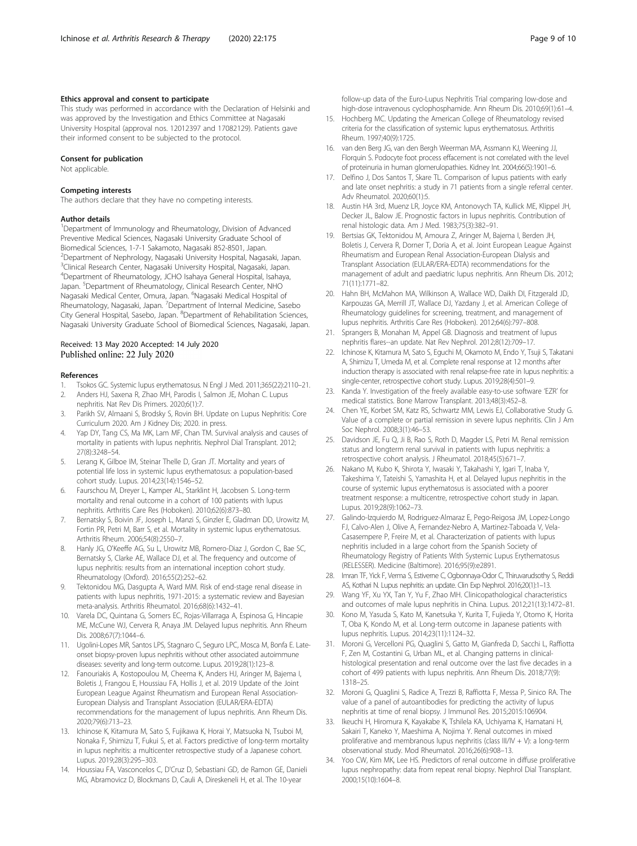### <span id="page-8-0"></span>Ethics approval and consent to participate

This study was performed in accordance with the Declaration of Helsinki and was approved by the Investigation and Ethics Committee at Nagasaki University Hospital (approval nos. 12012397 and 17082129). Patients gave their informed consent to be subjected to the protocol.

#### Consent for publication

Not applicable.

#### Competing interests

The authors declare that they have no competing interests.

#### Author details

<sup>1</sup>Department of Immunology and Rheumatology, Division of Advanced Preventive Medical Sciences, Nagasaki University Graduate School of Biomedical Sciences, 1-7-1 Sakamoto, Nagasaki 852-8501, Japan. 2 Department of Nephrology, Nagasaki University Hospital, Nagasaki, Japan. <sup>3</sup>Clinical Research Center, Nagasaki University Hospital, Nagasaki, Japan. 4 Department of Rheumatology, JCHO Isahaya General Hospital, Isahaya, Japan. <sup>5</sup>Department of Rheumatology, Clinical Research Center, NHO Nagasaki Medical Center, Omura, Japan. <sup>6</sup>Nagasaki Medical Hospital of Rheumatology, Nagasaki, Japan. <sup>7</sup>Department of Internal Medicine, Sasebo City General Hospital, Sasebo, Japan. <sup>8</sup> Department of Rehabilitation Sciences, Nagasaki University Graduate School of Biomedical Sciences, Nagasaki, Japan.

#### Received: 13 May 2020 Accepted: 14 July 2020 Published online: 22 July 2020

#### References

- 1. Tsokos GC. Systemic lupus erythematosus. N Engl J Med. 2011;365(22):2110–21.
- 2. Anders HJ, Saxena R, Zhao MH, Parodis I, Salmon JE, Mohan C. Lupus nephritis. Nat Rev Dis Primers. 2020;6(1):7.
- 3. Parikh SV, Almaani S, Brodsky S, Rovin BH. Update on Lupus Nephritis: Core Curriculum 2020. Am J Kidney Dis; 2020. in press.
- 4. Yap DY, Tang CS, Ma MK, Lam MF, Chan TM. Survival analysis and causes of mortality in patients with lupus nephritis. Nephrol Dial Transplant. 2012; 27(8):3248–54.
- 5. Lerang K, Gilboe IM, Steinar Thelle D, Gran JT. Mortality and years of potential life loss in systemic lupus erythematosus: a population-based cohort study. Lupus. 2014;23(14):1546–52.
- 6. Faurschou M, Dreyer L, Kamper AL, Starklint H, Jacobsen S. Long-term mortality and renal outcome in a cohort of 100 patients with lupus nephritis. Arthritis Care Res (Hoboken). 2010;62(6):873–80.
- 7. Bernatsky S, Boivin JF, Joseph L, Manzi S, Ginzler E, Gladman DD, Urowitz M, Fortin PR, Petri M, Barr S, et al. Mortality in systemic lupus erythematosus. Arthritis Rheum. 2006;54(8):2550–7.
- Hanly JG, O'Keeffe AG, Su L, Urowitz MB, Romero-Diaz J, Gordon C, Bae SC, Bernatsky S, Clarke AE, Wallace DJ, et al. The frequency and outcome of lupus nephritis: results from an international inception cohort study. Rheumatology (Oxford). 2016;55(2):252–62.
- 9. Tektonidou MG, Dasgupta A, Ward MM. Risk of end-stage renal disease in patients with lupus nephritis, 1971-2015: a systematic review and Bayesian meta-analysis. Arthritis Rheumatol. 2016;68(6):1432–41.
- 10. Varela DC, Quintana G, Somers EC, Rojas-Villarraga A, Espinosa G, Hincapie ME, McCune WJ, Cervera R, Anaya JM. Delayed lupus nephritis. Ann Rheum Dis. 2008;67(7):1044–6.
- 11. Ugolini-Lopes MR, Santos LPS, Stagnaro C, Seguro LPC, Mosca M, Bonfa E. Lateonset biopsy-proven lupus nephritis without other associated autoimmune diseases: severity and long-term outcome. Lupus. 2019;28(1):123–8.
- 12. Fanouriakis A, Kostopoulou M, Cheema K, Anders HJ, Aringer M, Bajema I, Boletis J, Frangou E, Houssiau FA, Hollis J, et al. 2019 Update of the Joint European League Against Rheumatism and European Renal Association-European Dialysis and Transplant Association (EULAR/ERA-EDTA) recommendations for the management of lupus nephritis. Ann Rheum Dis. 2020;79(6):713–23.
- 13. Ichinose K, Kitamura M, Sato S, Fujikawa K, Horai Y, Matsuoka N, Tsuboi M, Nonaka F, Shimizu T, Fukui S, et al. Factors predictive of long-term mortality in lupus nephritis: a multicenter retrospective study of a Japanese cohort. Lupus. 2019;28(3):295–303.
- 14. Houssiau FA, Vasconcelos C, D'Cruz D, Sebastiani GD, de Ramon GE, Danieli MG, Abramovicz D, Blockmans D, Cauli A, Direskeneli H, et al. The 10-year
- 15. Hochberg MC. Updating the American College of Rheumatology revised criteria for the classification of systemic lupus erythematosus. Arthritis Rheum. 1997;40(9):1725.
- 16. van den Berg JG, van den Bergh Weerman MA, Assmann KJ, Weening JJ, Florquin S. Podocyte foot process effacement is not correlated with the level of proteinuria in human glomerulopathies. Kidney Int. 2004;66(5):1901–6.
- 17. Delfino J, Dos Santos T, Skare TL. Comparison of lupus patients with early and late onset nephritis: a study in 71 patients from a single referral center. Adv Rheumatol. 2020;60(1):5.
- 18. Austin HA 3rd, Muenz LR, Joyce KM, Antonovych TA, Kullick ME, Klippel JH, Decker JL, Balow JE. Prognostic factors in lupus nephritis. Contribution of renal histologic data. Am J Med. 1983;75(3):382–91.
- 19. Bertsias GK, Tektonidou M, Amoura Z, Aringer M, Bajema I, Berden JH, Boletis J, Cervera R, Dorner T, Doria A, et al. Joint European League Against Rheumatism and European Renal Association-European Dialysis and Transplant Association (EULAR/ERA-EDTA) recommendations for the management of adult and paediatric lupus nephritis. Ann Rheum Dis. 2012; 71(11):1771–82.
- 20. Hahn BH, McMahon MA, Wilkinson A, Wallace WD, Daikh DI, Fitzgerald JD, Karpouzas GA, Merrill JT, Wallace DJ, Yazdany J, et al. American College of Rheumatology guidelines for screening, treatment, and management of lupus nephritis. Arthritis Care Res (Hoboken). 2012;64(6):797–808.
- 21. Sprangers B, Monahan M, Appel GB. Diagnosis and treatment of lupus nephritis flares--an update. Nat Rev Nephrol. 2012;8(12):709–17.
- 22. Ichinose K, Kitamura M, Sato S, Eguchi M, Okamoto M, Endo Y, Tsuji S, Takatani A, Shimizu T, Umeda M, et al. Complete renal response at 12 months after induction therapy is associated with renal relapse-free rate in lupus nephritis: a single-center, retrospective cohort study. Lupus. 2019;28(4):501–9.
- 23. Kanda Y. Investigation of the freely available easy-to-use software 'EZR' for medical statistics. Bone Marrow Transplant. 2013;48(3):452–8.
- 24. Chen YE, Korbet SM, Katz RS, Schwartz MM, Lewis EJ, Collaborative Study G. Value of a complete or partial remission in severe lupus nephritis. Clin J Am Soc Nephrol. 2008;3(1):46–53.
- 25. Davidson JE, Fu Q, Ji B, Rao S, Roth D, Magder LS, Petri M. Renal remission status and longterm renal survival in patients with lupus nephritis: a retrospective cohort analysis. J Rheumatol. 2018;45(5):671–7.
- 26. Nakano M, Kubo K, Shirota Y, Iwasaki Y, Takahashi Y, Igari T, Inaba Y, Takeshima Y, Tateishi S, Yamashita H, et al. Delayed lupus nephritis in the course of systemic lupus erythematosus is associated with a poorer treatment response: a multicentre, retrospective cohort study in Japan. Lupus. 2019;28(9):1062–73.
- 27. Galindo-Izquierdo M, Rodriguez-Almaraz E, Pego-Reigosa JM, Lopez-Longo FJ, Calvo-Alen J, Olive A, Fernandez-Nebro A, Martinez-Taboada V, Vela-Casasempere P, Freire M, et al. Characterization of patients with lupus nephritis included in a large cohort from the Spanish Society of Rheumatology Registry of Patients With Systemic Lupus Erythematosus (RELESSER). Medicine (Baltimore). 2016;95(9):e2891.
- 28. Imran TF, Yick F, Verma S, Estiverne C, Ogbonnaya-Odor C, Thiruvarudsothy S, Reddi AS, Kothari N. Lupus nephritis: an update. Clin Exp Nephrol. 2016;20(1):1–13.
- 29. Wang YF, Xu YX, Tan Y, Yu F, Zhao MH. Clinicopathological characteristics and outcomes of male lupus nephritis in China. Lupus. 2012;21(13):1472–81.
- 30. Kono M, Yasuda S, Kato M, Kanetsuka Y, Kurita T, Fujieda Y, Otomo K, Horita T, Oba K, Kondo M, et al. Long-term outcome in Japanese patients with lupus nephritis. Lupus. 2014;23(11):1124–32.
- 31. Moroni G, Vercelloni PG, Quaglini S, Gatto M, Gianfreda D, Sacchi L, Raffiotta F, Zen M, Costantini G, Urban ML, et al. Changing patterns in clinicalhistological presentation and renal outcome over the last five decades in a cohort of 499 patients with lupus nephritis. Ann Rheum Dis. 2018;77(9): 1318–25.
- 32. Moroni G, Quaglini S, Radice A, Trezzi B, Raffiotta F, Messa P, Sinico RA. The value of a panel of autoantibodies for predicting the activity of lupus nephritis at time of renal biopsy. J Immunol Res. 2015;2015:106904.
- 33. Ikeuchi H, Hiromura K, Kayakabe K, Tshilela KA, Uchiyama K, Hamatani H, Sakairi T, Kaneko Y, Maeshima A, Nojima Y. Renal outcomes in mixed proliferative and membranous lupus nephritis (class III/IV + V): a long-term observational study. Mod Rheumatol. 2016;26(6):908–13.
- 34. Yoo CW, Kim MK, Lee HS. Predictors of renal outcome in diffuse proliferative lupus nephropathy: data from repeat renal biopsy. Nephrol Dial Transplant. 2000;15(10):1604–8.